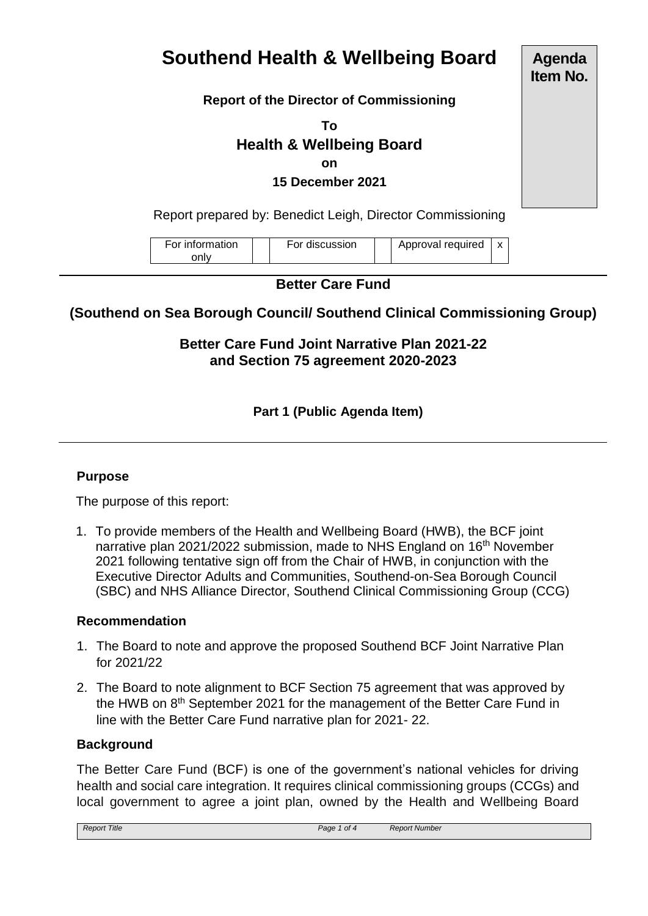# **Southend Health & Wellbeing Board**

## **Report of the Director of Commissioning**

**To Health & Wellbeing Board on**

**15 December 2021**

Report prepared by: Benedict Leigh, Director Commissioning

| For information | For discussion | Approval required |  |
|-----------------|----------------|-------------------|--|
| onlv            |                |                   |  |

## **Better Care Fund**

# **(Southend on Sea Borough Council/ Southend Clinical Commissioning Group)**

**Better Care Fund Joint Narrative Plan 2021-22 and Section 75 agreement 2020-2023**

## **Part 1 (Public Agenda Item)**

## **Purpose**

The purpose of this report:

1. To provide members of the Health and Wellbeing Board (HWB), the BCF joint narrative plan 2021/2022 submission, made to NHS England on 16<sup>th</sup> November 2021 following tentative sign off from the Chair of HWB, in conjunction with the Executive Director Adults and Communities, Southend-on-Sea Borough Council (SBC) and NHS Alliance Director, Southend Clinical Commissioning Group (CCG)

#### **Recommendation**

- 1. The Board to note and approve the proposed Southend BCF Joint Narrative Plan for 2021/22
- 2. The Board to note alignment to BCF Section 75 agreement that was approved by the HWB on 8<sup>th</sup> September 2021 for the management of the Better Care Fund in line with the Better Care Fund narrative plan for 2021- 22.

#### **Background**

The Better Care Fund (BCF) is one of the government's national vehicles for driving health and social care integration. It requires clinical commissioning groups (CCGs) and local government to agree a joint plan, owned by the Health and Wellbeing Board

| <b>Report Title</b> | Page 1 of 4 | <b>Report Number</b> |
|---------------------|-------------|----------------------|
|---------------------|-------------|----------------------|

**Agenda Item No.**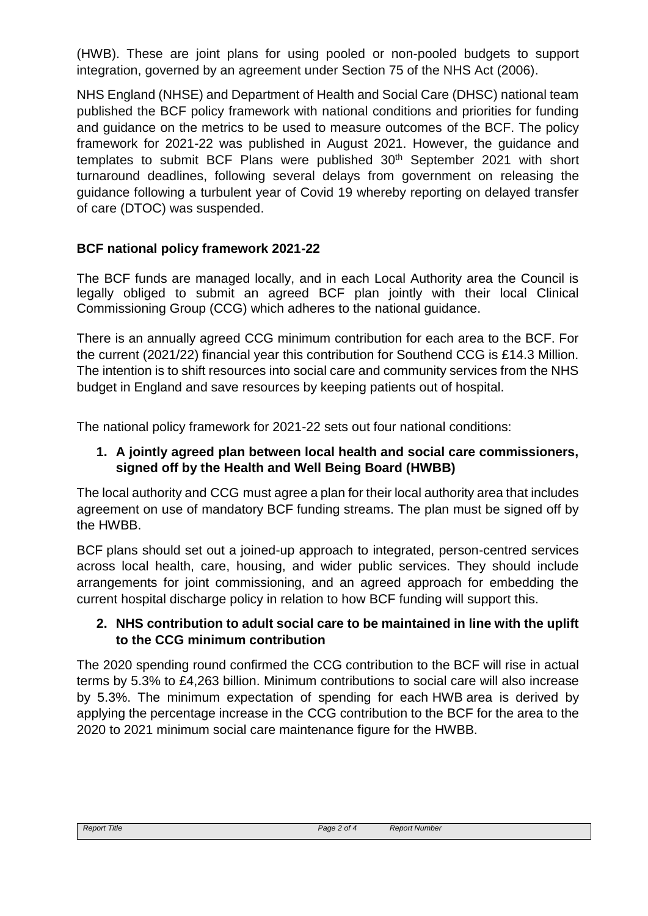(HWB). These are joint plans for using pooled or non-pooled budgets to support integration, governed by an agreement under Section 75 of the NHS Act (2006).

NHS England (NHSE) and Department of Health and Social Care (DHSC) national team published the BCF policy framework with national conditions and priorities for funding and guidance on the metrics to be used to measure outcomes of the BCF. The policy framework for 2021-22 was published in August 2021. However, the guidance and templates to submit BCF Plans were published 30<sup>th</sup> September 2021 with short turnaround deadlines, following several delays from government on releasing the guidance following a turbulent year of Covid 19 whereby reporting on delayed transfer of care (DTOC) was suspended.

# **BCF national policy framework 2021-22**

The BCF funds are managed locally, and in each Local Authority area the Council is legally obliged to submit an agreed BCF plan jointly with their local Clinical Commissioning Group (CCG) which adheres to the national guidance.

There is an annually agreed CCG minimum contribution for each area to the BCF. For the current (2021/22) financial year this contribution for Southend CCG is £14.3 Million. The intention is to shift resources into social care and community services from the NHS budget in England and save resources by keeping patients out of hospital.

The national policy framework for 2021-22 sets out four national conditions:

## **1. A jointly agreed plan between local health and social care commissioners, signed off by the Health and Well Being Board (HWBB)**

The local authority and CCG must agree a plan for their local authority area that includes agreement on use of mandatory BCF funding streams. The plan must be signed off by the HWBB.

BCF plans should set out a joined-up approach to integrated, person-centred services across local health, care, housing, and wider public services. They should include arrangements for joint commissioning, and an agreed approach for embedding the current hospital discharge policy in relation to how BCF funding will support this.

## **2. NHS contribution to adult social care to be maintained in line with the uplift to the CCG minimum contribution**

The 2020 spending round confirmed the CCG contribution to the BCF will rise in actual terms by 5.3% to £4,263 billion. Minimum contributions to social care will also increase by 5.3%. The minimum expectation of spending for each HWB area is derived by applying the percentage increase in the CCG contribution to the BCF for the area to the 2020 to 2021 minimum social care maintenance figure for the HWBB.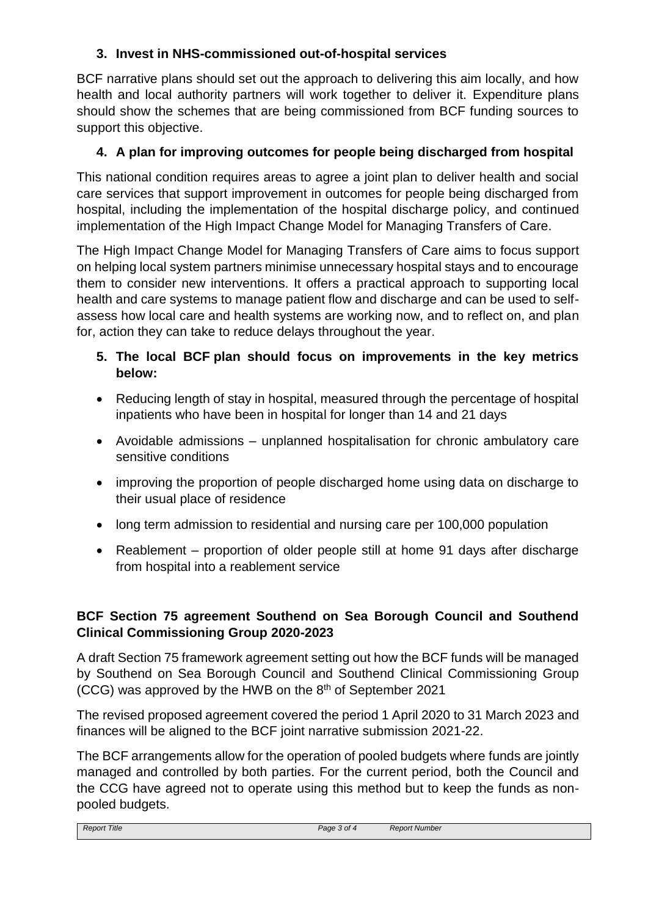# **3. Invest in NHS-commissioned out-of-hospital services**

BCF narrative plans should set out the approach to delivering this aim locally, and how health and local authority partners will work together to deliver it. Expenditure plans should show the schemes that are being commissioned from BCF funding sources to support this objective.

## **4. A plan for improving outcomes for people being discharged from hospital**

This national condition requires areas to agree a joint plan to deliver health and social care services that support improvement in outcomes for people being discharged from hospital, including the implementation of the hospital discharge policy, and continued implementation of the High Impact Change Model for Managing Transfers of Care.

The High Impact Change Model for Managing Transfers of Care aims to focus support on helping local system partners minimise unnecessary hospital stays and to encourage them to consider new interventions. It offers a practical approach to supporting local health and care systems to manage patient flow and discharge and can be used to selfassess how local care and health systems are working now, and to reflect on, and plan for, action they can take to reduce delays throughout the year.

- **5. The local BCF plan should focus on improvements in the key metrics below:**
- Reducing length of stay in hospital, measured through the percentage of hospital inpatients who have been in hospital for longer than 14 and 21 days
- Avoidable admissions unplanned hospitalisation for chronic ambulatory care sensitive conditions
- improving the proportion of people discharged home using data on discharge to their usual place of residence
- long term admission to residential and nursing care per 100,000 population
- Reablement proportion of older people still at home 91 days after discharge from hospital into a reablement service

## **BCF Section 75 agreement Southend on Sea Borough Council and Southend Clinical Commissioning Group 2020-2023**

A draft Section 75 framework agreement setting out how the BCF funds will be managed by Southend on Sea Borough Council and Southend Clinical Commissioning Group (CCG) was approved by the HWB on the 8th of September 2021

The revised proposed agreement covered the period 1 April 2020 to 31 March 2023 and finances will be aligned to the BCF joint narrative submission 2021-22.

The BCF arrangements allow for the operation of pooled budgets where funds are jointly managed and controlled by both parties. For the current period, both the Council and the CCG have agreed not to operate using this method but to keep the funds as nonpooled budgets.

| <b>Report Title</b> | Page 3 of 4 | <b>Report Number</b> |
|---------------------|-------------|----------------------|